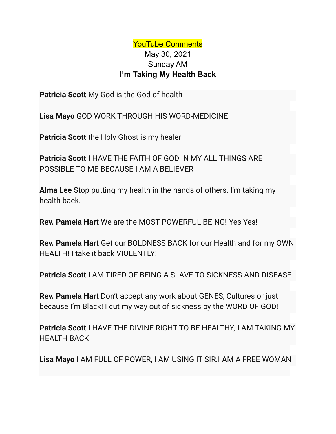## YouTube Comments May 30, 2021 Sunday AM **I'm Taking My Health Back**

**Patricia Scott** My God is the God of health

**Lisa Mayo** GOD WORK THROUGH HIS WORD-MEDICINE.

**Patricia Scott** the Holy Ghost is my healer

**Patricia Scott** I HAVE THE FAITH OF GOD IN MY ALL THINGS ARE POSSIBLE TO ME BECAUSE I AM A BELIEVER

**Alma Lee** Stop putting my health in the hands of others. I'm taking my health back.

**Rev. Pamela Hart** We are the MOST POWERFUL BEING! Yes Yes!

**Rev. Pamela Hart** Get our BOLDNESS BACK for our Health and for my OWN HEALTH! I take it back VIOLENTLY!

**Patricia Scott** I AM TIRED OF BEING A SLAVE TO SICKNESS AND DISEASE

**Rev. Pamela Hart** Don't accept any work about GENES, Cultures or just because I'm Black! I cut my way out of sickness by the WORD OF GOD!

**Patricia Scott** I HAVE THE DIVINE RIGHT TO BE HEALTHY, I AM TAKING MY HEALTH BACK

**Lisa Mayo** I AM FULL OF POWER, I AM USING IT SIR.I AM A FREE WOMAN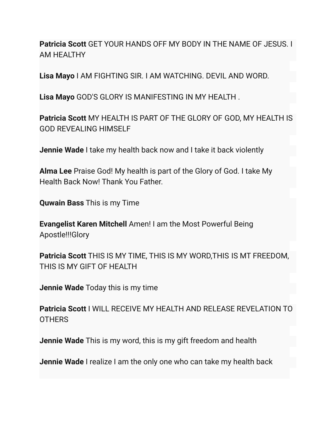**Patricia Scott** GET YOUR HANDS OFF MY BODY IN THE NAME OF JESUS. I AM HEALTHY

**Lisa Mayo** I AM FIGHTING SIR. I AM WATCHING. DEVIL AND WORD.

**Lisa Mayo** GOD'S GLORY IS MANIFESTING IN MY HEALTH .

**Patricia Scott** MY HEALTH IS PART OF THE GLORY OF GOD, MY HEALTH IS GOD REVEALING HIMSELF

**Jennie Wade** I take my health back now and I take it back violently

**Alma Lee** Praise God! My health is part of the Glory of God. I take My Health Back Now! Thank You Father.

**Quwain Bass** This is my Time

**Evangelist Karen Mitchell** Amen! I am the Most Powerful Being Apostle!!!Glory

**Patricia Scott** THIS IS MY TIME, THIS IS MY WORD,THIS IS MT FREEDOM, THIS IS MY GIFT OF HEALTH

**Jennie Wade** Today this is my time

**Patricia Scott** I WILL RECEIVE MY HEALTH AND RELEASE REVELATION TO **OTHERS** 

**Jennie Wade** This is my word, this is my gift freedom and health

**Jennie Wade** I realize I am the only one who can take my health back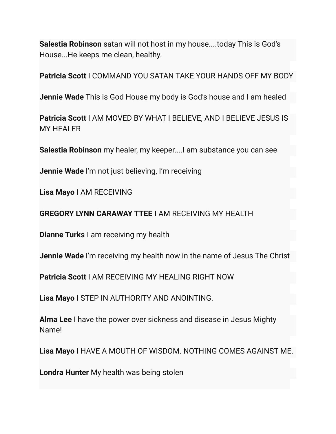**Salestia Robinson** satan will not host in my house....today This is God's House...He keeps me clean, healthy.

**Patricia Scott** I COMMAND YOU SATAN TAKE YOUR HANDS OFF MY BODY

**Jennie Wade** This is God House my body is God's house and I am healed

**Patricia Scott** I AM MOVED BY WHAT I BELIEVE, AND I BELIEVE JESUS IS MY HEALER

**Salestia Robinson** my healer, my keeper....I am substance you can see

**Jennie Wade** I'm not just believing, I'm receiving

**Lisa Mayo** I AM RECEIVING

**GREGORY LYNN CARAWAY TTEE** I AM RECEIVING MY HEALTH

**Dianne Turks** I am receiving my health

**Jennie Wade** I'm receiving my health now in the name of Jesus The Christ

**Patricia Scott** I AM RECEIVING MY HEALING RIGHT NOW

**Lisa Mayo** I STEP IN AUTHORITY AND ANOINTING.

**Alma Lee** I have the power over sickness and disease in Jesus Mighty Name!

**Lisa Mayo** I HAVE A MOUTH OF WISDOM. NOTHING COMES AGAINST ME.

**Londra Hunter** My health was being stolen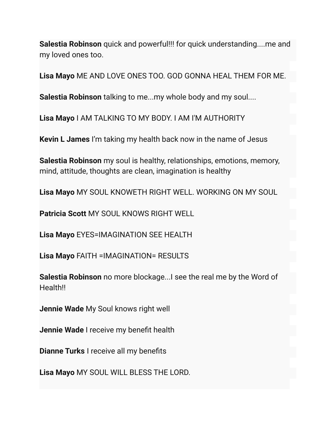**Salestia Robinson** quick and powerful!!! for quick understanding....me and my loved ones too.

**Lisa Mayo** ME AND LOVE ONES TOO. GOD GONNA HEAL THEM FOR ME.

**Salestia Robinson** talking to me...my whole body and my soul....

**Lisa Mayo** I AM TALKING TO MY BODY. I AM I'M AUTHORITY

**Kevin L James** I'm taking my health back now in the name of Jesus

**Salestia Robinson** my soul is healthy, relationships, emotions, memory, mind, attitude, thoughts are clean, imagination is healthy

**Lisa Mayo** MY SOUL KNOWETH RIGHT WELL. WORKING ON MY SOUL

**Patricia Scott** MY SOUL KNOWS RIGHT WELL

**Lisa Mayo** EYES=IMAGINATION SEE HEALTH

**Lisa Mayo** FAITH =IMAGINATION= RESULTS

**Salestia Robinson** no more blockage...I see the real me by the Word of Health!!

**Jennie Wade** My Soul knows right well

**Jennie Wade** I receive my benefit health

**Dianne Turks** I receive all my benefits

**Lisa Mayo** MY SOUL WILL BLESS THE LORD.